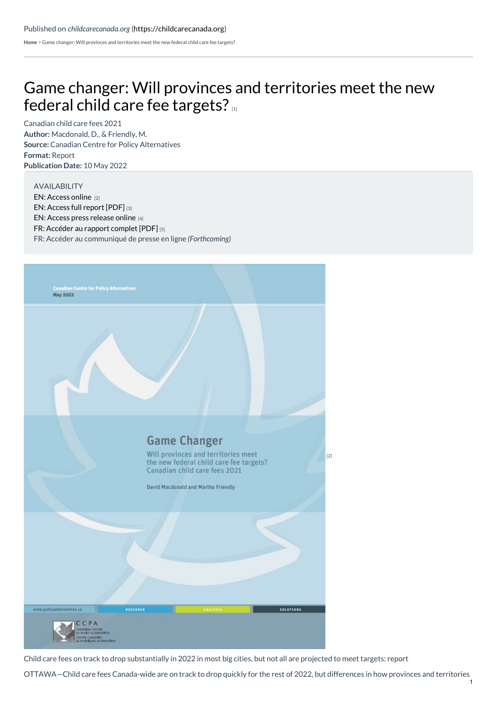[Home](https://childcarecanada.org/) > Game changer: Will provinces and territories meet the new federal child care fee targets?

## Game changer: Will provinces and [territories](https://childcarecanada.org/documents/research-policy-practice/22/05/game-changer-will-provinces-and-territories-meet-new) meet the new federal child care fee targets?

**Author:** Macdonald, D., & Friendly, M. **Source:** Canadian Centre for Policy Alternatives **Format:** Report **Publication Date:** 10 May 2022 Canadian child care fees 2021

## AVAILABILITY

EN: [Access](https://policyalternatives.ca/gamechanger) online [2] EN: [Access](https://policyalternatives.ca/sites/default/files/uploads/publications/National%20Office/2022/05/Game%20Changer.pdf) full report [PDF] [3] EN: Access press [release](https://policyalternatives.ca/newsroom/news-releases/child-care-fees-track-drop-substantially-2022-most-big-cities-not-all-are) online [4] FR: [Accéder](https://policyalternatives.ca/reports/changer-les-regles-du-jeu) au rapport complet [PDF] [5] FR: Accéder au communiqué de presse en ligne *(Forthcoming)*



Child care fees on track to drop substantially in 2022 in most big cities, but not all are projected to meet targets: report

OTTAWA—Child care fees Canada-wide are on track to drop quickly for the rest of 2022, but differences in how provinces and territories 1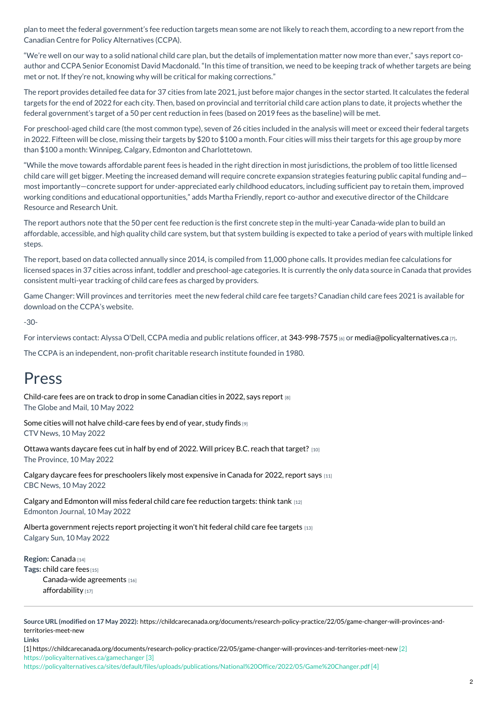plan to meet the federal government's fee reduction targets mean some are not likely to reach them, according to a new report from the Canadian Centre for Policy Alternatives (CCPA).

"We're well on our way to a solid national child care plan, but the details of implementation matter now more than ever," says report coauthor and CCPA Senior Economist David Macdonald. "In this time of transition, we need to be keeping track of whether targets are being met or not. If they're not, knowing why will be critical for making corrections."

The report provides detailed fee data for 37 cities from late 2021, just before major changes in the sector started. It calculates the federal targets for the end of 2022 for each city. Then, based on provincial and territorial child care action plans to date, it projects whether the federal government's target of a 50 per cent reduction in fees (based on 2019 fees as the baseline) will be met.

For preschool-aged child care (the most common type), seven of 26 cities included in the analysis will meet or exceed their federal targets in 2022. Fifteen will be close, missing their targets by \$20 to \$100 a month. Four cities will miss their targets for this age group by more than \$100 a month: Winnipeg, Calgary, Edmonton and Charlottetown.

"While the move towards affordable parent fees is headed in the right direction in most jurisdictions, the problem of too little licensed child care will get bigger. Meeting the increased demand will require concrete expansion strategies featuring public capital funding and most importantly—concrete support for under-appreciated early childhood educators, including sufficient pay to retain them, improved working conditions and educational opportunities," adds Martha Friendly, report co-author and executive director of the Childcare Resource and Research Unit.

The report authors note that the 50 per cent fee reduction is the first concrete step in the multi-year Canada-wide plan to build an affordable, accessible, and high quality child care system, but that system building is expected to take a period of years with multiple linked steps.

The report, based on data collected annually since 2014, is compiled from 11,000 phone calls. It provides median fee calculations for licensed spaces in 37 cities across infant, toddler and preschool-age categories. It is currently the only data source in Canada that provides consistent multi-year tracking of child care fees as charged by providers.

Game Changer: Will provinces and territories meet the new federal child care fee targets? Canadian child care fees 2021 is available for download on the CCPA's website.

-30-

For interviews contact: Alyssa O'Dell, CCPA media and public relations officer, at [343-998-7575](tel:343-998-7575) [6] or [media@policyalternatives.ca](mailto:media@policyalternatives.ca) [7].

The CCPA is an independent, non-profit charitable research institute founded in 1980.

## Press

[Child-care](https://childcarecanada.org/documents/child-care-news/22/05/child-care-fees-are-track-drop-some-canadian-cities-2022-says-report) fees are on track to drop in some Canadian cities in 2022, says report [8] The Globe and Mail, 10 May 2022

Some cities will not halve [child-care](https://childcarecanada.org/documents/child-care-news/22/05/some-cities-will-not-halve-child-care-fees-end-year-study-finds) fees by end of year, study finds [9] CTV News, 10 May 2022

Ottawa wants [daycare](https://childcarecanada.org/documents/child-care-news/22/05/ottawa-wants-daycare-fees-cut-half-end-2022-will-pricey-bc-reach) fees cut in half by end of 2022. Will pricey B.C. reach that target? [10] The Province, 10 May 2022

Calgary daycare fees for [preschoolers](https://childcarecanada.org/documents/child-care-news/22/05/calgary-daycare-fees-preschoolers-likely-most-expensive-canada-2022) likely most expensive in Canada for 2022, report says [11] CBC News, 10 May 2022

Calgary and [Edmonton](https://childcarecanada.org/documents/child-care-news/22/05/calgary-and-edmonton-will-miss-federal-child-care-fee-reduction) will miss federal child care fee reduction targets: think tank  $12$ Edmonton Journal, 10 May 2022

Alberta [government](https://childcarecanada.org/documents/child-care-news/22/05/alberta-government-rejects-report-projecting-it-wont-hit-federal) rejects report projecting it won't hit federal child care fee targets [13] Calgary Sun, 10 May 2022

**Region:** [Canada](https://childcarecanada.org/taxonomy/term/7864) [14] **Tags:** [child](https://childcarecanada.org/category/tags/child-care-fees) care fees [15] [Canada-wide](https://childcarecanada.org/taxonomy/term/9207) agreements [16] [affordability](https://childcarecanada.org/category/tags/affordability) [17]

**Source URL (modified on 17 May 2022):** [https://childcarecanada.org/documents/research-policy-practice/22/05/game-changer-will-provinces-and](https://childcarecanada.org/documents/research-policy-practice/22/05/game-changer-will-provinces-and-territories-meet-new)territories-meet-new

**Links**

[1] <https://childcarecanada.org/documents/research-policy-practice/22/05/game-changer-will-provinces-and-territories-meet-new> [2] https://policyalternatives.ca/gamechanger [3]

https://policyalternatives.ca/sites/default/files/uploads/publications/National%20Office/2022/05/Game%20Changer.pdf [4]